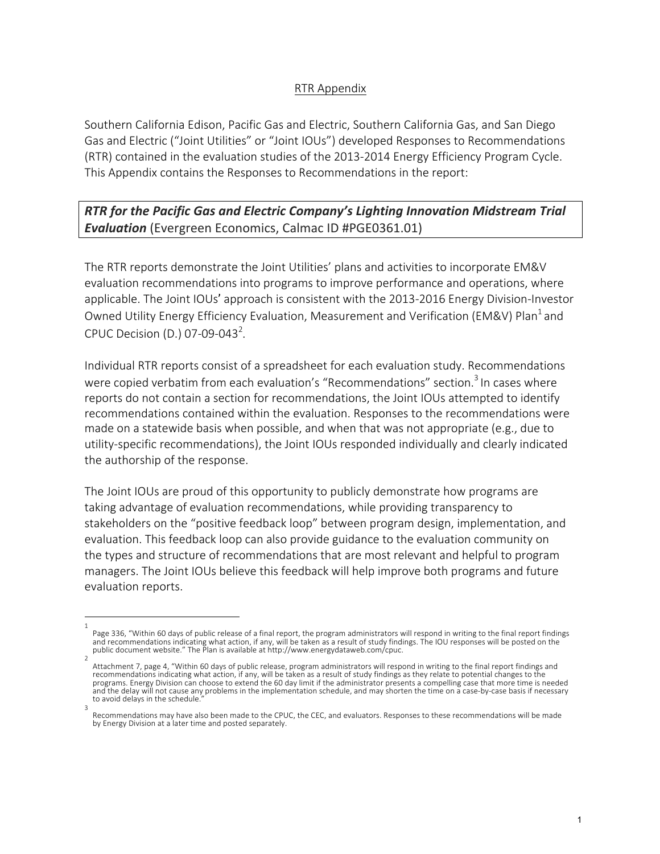## RTR Appendix

Southern California Edison, Pacific Gas and Electric, Southern California Gas, and San Diego Gas and Electric ("Joint Utilities" or "Joint IOUs") developed Responses to Recommendations (RTR) contained in the evaluation studies of the 2013-2014 Energy Efficiency Program Cycle. This Appendix contains the Responses to Recommendations in the report:

**RTR** for the Pacific Gas and Electric Company's Lighting Innovation Midstream Trial **Evaluation** (Evergreen Economics, Calmac ID #PGE0361.01)

The RTR reports demonstrate the Joint Utilities' plans and activities to incorporate EM&V evaluation recommendations into programs to improve performance and operations, where applicable. The Joint IOUs' approach is consistent with the 2013-2016 Energy Division-Investor Owned Utility Energy Efficiency Evaluation, Measurement and Verification (EM&V) Plan<sup>1</sup> and CPUC Decision (D.) 07-09-043<sup>2</sup>.

Individual RTR reports consist of a spreadsheet for each evaluation study. Recommendations were copied verbatim from each evaluation's "Recommendations" section.<sup>3</sup> In cases where reports do not contain a section for recommendations, the Joint IOUs attempted to identify recommendations contained within the evaluation. Responses to the recommendations were made on a statewide basis when possible, and when that was not appropriate (e.g., due to utility-specific recommendations), the Joint IOUs responded individually and clearly indicated the authorship of the response.

The Joint IOUs are proud of this opportunity to publicly demonstrate how programs are taking advantage of evaluation recommendations, while providing transparency to stakeholders on the "positive feedback loop" between program design, implementation, and evaluation. This feedback loop can also provide guidance to the evaluation community on the types and structure of recommendations that are most relevant and helpful to program managers. The Joint IOUs believe this feedback will help improve both programs and future evaluation reports.

<sup>1</sup> Page 336, "Within 60 days of public release of a final report, the program administrators will respond in writing to the final report findings and recommendations indicating what action, if any, will be taken as a result of study findings. The IOU responses will be posted on the public document website." The Plan is available at http://www.energydataweb.com/cpuc.

<sup>2</sup> Attachment 7, page 4, "Within 60 days of public release, program administrators will respond in writing to the final report findings and<br>recommendations indicating what action, if any, will be taken as a result of study fi programs. Energy Division can choose to extend the 60 day limit if the administrator presents a compelling case that more time is needed and the delay will not cause any problems in the implementation schedule, and may shorten the time on a case-by-case basis if necessary to avoid delays in the schedule. 3

Recommendations may have also been made to the CPUC, the CEC, and evaluators. Responses to these recommendations will be made by Energy Division at a later time and posted separately.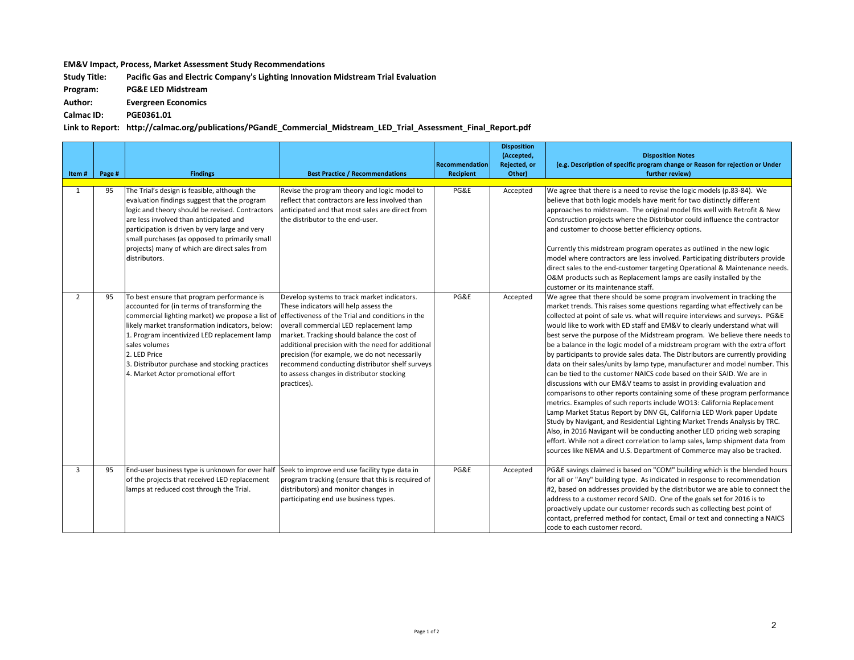## **EM&V** Impact, Process, Market Assessment Study Recommendations

Study Title: Pacific Gas and Electric Company's Lighting Innovation Midstream Trial Evaluation

**Program: PG&E LED Midstream**

**Author: Evergreen Economics**

**Calmac ID: PGE0361.01**

Link to Report: http://calmac.org/publications/PGandE\_Commercial\_Midstream\_LED\_Trial\_Assessment\_Final\_Report.pdf

| Item#          | Page # | <b>Findings</b>                                                                                                                                                                                                                                                                                                                                                           | <b>Best Practice / Recommendations</b>                                                                                                                                                                                                                                                                                                                                                                                                                 | Recommendation<br><b>Recipient</b> | <b>Disposition</b><br>(Accepted,<br>Rejected, or<br>Other) | <b>Disposition Notes</b><br>(e.g. Description of specific program change or Reason for rejection or Under<br>further review)                                                                                                                                                                                                                                                                                                                                                                                                                                                                                                                                                                                                                                                                                                                                                                                                                                                                                                                                                                                                                                                                                                                                                                                                                                 |
|----------------|--------|---------------------------------------------------------------------------------------------------------------------------------------------------------------------------------------------------------------------------------------------------------------------------------------------------------------------------------------------------------------------------|--------------------------------------------------------------------------------------------------------------------------------------------------------------------------------------------------------------------------------------------------------------------------------------------------------------------------------------------------------------------------------------------------------------------------------------------------------|------------------------------------|------------------------------------------------------------|--------------------------------------------------------------------------------------------------------------------------------------------------------------------------------------------------------------------------------------------------------------------------------------------------------------------------------------------------------------------------------------------------------------------------------------------------------------------------------------------------------------------------------------------------------------------------------------------------------------------------------------------------------------------------------------------------------------------------------------------------------------------------------------------------------------------------------------------------------------------------------------------------------------------------------------------------------------------------------------------------------------------------------------------------------------------------------------------------------------------------------------------------------------------------------------------------------------------------------------------------------------------------------------------------------------------------------------------------------------|
| 1              | 95     | The Trial's design is feasible, although the<br>evaluation findings suggest that the program<br>logic and theory should be revised. Contractors<br>are less involved than anticipated and<br>participation is driven by very large and very<br>small purchases (as opposed to primarily small<br>projects) many of which are direct sales from<br>distributors.           | Revise the program theory and logic model to<br>reflect that contractors are less involved than<br>anticipated and that most sales are direct from<br>the distributor to the end-user.                                                                                                                                                                                                                                                                 | PG&E                               | Accepted                                                   | We agree that there is a need to revise the logic models (p.83-84). We<br>believe that both logic models have merit for two distinctly different<br>approaches to midstream. The original model fits well with Retrofit & New<br>Construction projects where the Distributor could influence the contractor<br>and customer to choose better efficiency options.<br>Currently this midstream program operates as outlined in the new logic<br>model where contractors are less involved. Participating distributers provide<br>direct sales to the end-customer targeting Operational & Maintenance needs.<br>O&M products such as Replacement lamps are easily installed by the<br>customer or its maintenance staff.                                                                                                                                                                                                                                                                                                                                                                                                                                                                                                                                                                                                                                       |
| $\overline{2}$ | 95     | To best ensure that program performance is<br>accounted for (in terms of transforming the<br>commercial lighting market) we propose a list of<br>likely market transformation indicators, below:<br>1. Program incentivized LED replacement lamp<br>sales volumes<br>2. LED Price<br>3. Distributor purchase and stocking practices<br>4. Market Actor promotional effort | Develop systems to track market indicators.<br>These indicators will help assess the<br>effectiveness of the Trial and conditions in the<br>overall commercial LED replacement lamp<br>market. Tracking should balance the cost of<br>additional precision with the need for additional<br>precision (for example, we do not necessarily<br>recommend conducting distributor shelf surveys<br>to assess changes in distributor stocking<br>practices). | PG&E                               | Accepted                                                   | We agree that there should be some program involvement in tracking the<br>market trends. This raises some questions regarding what effectively can be<br>collected at point of sale vs. what will require interviews and surveys. PG&E<br>would like to work with ED staff and EM&V to clearly understand what will<br>best serve the purpose of the Midstream program. We believe there needs to<br>be a balance in the logic model of a midstream program with the extra effort<br>by participants to provide sales data. The Distributors are currently providing<br>data on their sales/units by lamp type, manufacturer and model number. This<br>can be tied to the customer NAICS code based on their SAID. We are in<br>discussions with our EM&V teams to assist in providing evaluation and<br>comparisons to other reports containing some of these program performance<br>metrics. Examples of such reports include WO13: California Replacement<br>Lamp Market Status Report by DNV GL, California LED Work paper Update<br>Study by Navigant, and Residential Lighting Market Trends Analysis by TRC.<br>Also, in 2016 Navigant will be conducting another LED pricing web scraping<br>effort. While not a direct correlation to lamp sales, lamp shipment data from<br>sources like NEMA and U.S. Department of Commerce may also be tracked. |
| $\overline{3}$ | 95     | End-user business type is unknown for over half<br>of the projects that received LED replacement<br>lamps at reduced cost through the Trial.                                                                                                                                                                                                                              | Seek to improve end use facility type data in<br>program tracking (ensure that this is required of<br>distributors) and monitor changes in<br>participating end use business types.                                                                                                                                                                                                                                                                    | PG&E                               | Accepted                                                   | PG&E savings claimed is based on "COM" building which is the blended hours<br>for all or "Any" building type. As indicated in response to recommendation<br>$\#2$ , based on addresses provided by the distributor we are able to connect the<br>address to a customer record SAID. One of the goals set for 2016 is to<br>proactively update our customer records such as collecting best point of<br>contact, preferred method for contact, Email or text and connecting a NAICS<br>code to each customer record.                                                                                                                                                                                                                                                                                                                                                                                                                                                                                                                                                                                                                                                                                                                                                                                                                                          |